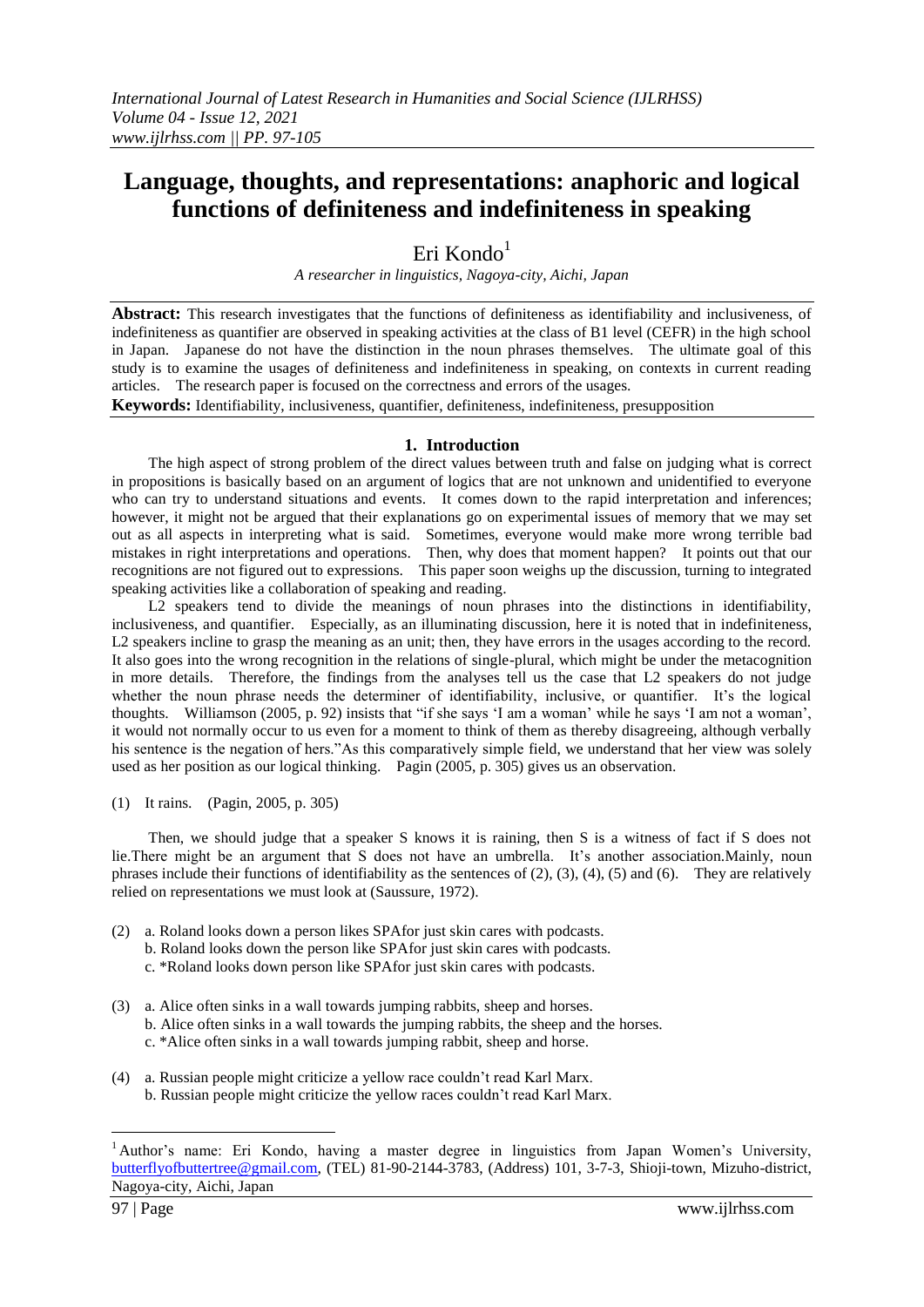# **Language, thoughts, and representations: anaphoric and logical functions of definiteness and indefiniteness in speaking**

# Eri Kondo<sup>1</sup>

*A researcher in linguistics, Nagoya-city, Aichi, Japan*

**Abstract:** This research investigates that the functions of definiteness as identifiability and inclusiveness, of indefiniteness as quantifier are observed in speaking activities at the class of B1 level (CEFR) in the high school in Japan. Japanese do not have the distinction in the noun phrases themselves. The ultimate goal of this study is to examine the usages of definiteness and indefiniteness in speaking, on contexts in current reading articles. The research paper is focused on the correctness and errors of the usages.

**Keywords:** Identifiability, inclusiveness, quantifier, definiteness, indefiniteness, presupposition

# **1. Introduction**

The high aspect of strong problem of the direct values between truth and false on judging what is correct in propositions is basically based on an argument of logics that are not unknown and unidentified to everyone who can try to understand situations and events. It comes down to the rapid interpretation and inferences; however, it might not be argued that their explanations go on experimental issues of memory that we may set out as all aspects in interpreting what is said. Sometimes, everyone would make more wrong terrible bad mistakes in right interpretations and operations. Then, why does that moment happen? It points out that our recognitions are not figured out to expressions. This paper soon weighs up the discussion, turning to integrated speaking activities like a collaboration of speaking and reading.

L2 speakers tend to divide the meanings of noun phrases into the distinctions in identifiability, inclusiveness, and quantifier. Especially, as an illuminating discussion, here it is noted that in indefiniteness, L2 speakers incline to grasp the meaning as an unit; then, they have errors in the usages according to the record. It also goes into the wrong recognition in the relations of single-plural, which might be under the metacognition in more details. Therefore, the findings from the analyses tell us the case that L2 speakers do not judge whether the noun phrase needs the determiner of identifiability, inclusive, or quantifier. It's the logical thoughts. Williamson (2005, p. 92) insists that "if she says "I am a woman" while he says "I am not a woman", it would not normally occur to us even for a moment to think of them as thereby disagreeing, although verbally his sentence is the negation of hers."As this comparatively simple field, we understand that her view was solely used as her position as our logical thinking. Pagin (2005, p. 305) gives us an observation.

(1) It rains. (Pagin, 2005, p. 305)

Then, we should judge that a speaker S knows it is raining, then S is a witness of fact if S does not lie.There might be an argument that S does not have an umbrella. It's another association.Mainly, noun phrases include their functions of identifiability as the sentences of  $(2)$ ,  $(3)$ ,  $(4)$ ,  $(5)$  and  $(6)$ . They are relatively relied on representations we must look at (Saussure, 1972).

- (2) a. Roland looks down a person likes SPAfor just skin cares with podcasts. b. Roland looks down the person like SPAfor just skin cares with podcasts. c. \*Roland looks down person like SPAfor just skin cares with podcasts.
- (3) a. Alice often sinks in a wall towards jumping rabbits, sheep and horses. b. Alice often sinks in a wall towards the jumping rabbits, the sheep and the horses. c. \*Alice often sinks in a wall towards jumping rabbit, sheep and horse.
- (4) a. Russian people might criticize a yellow race couldn"t read Karl Marx. b. Russian people might criticize the yellow races couldn"t read Karl Marx.

-

<sup>&</sup>lt;sup>1</sup> Author's name: Eri Kondo, having a master degree in linguistics from Japan Women's University, [butterflyofbuttertree@gmail.com,](mailto:butterflyofbuttertree@gmail.com) (TEL) 81-90-2144-3783, (Address) 101, 3-7-3, Shioji-town, Mizuho-district, Nagoya-city, Aichi, Japan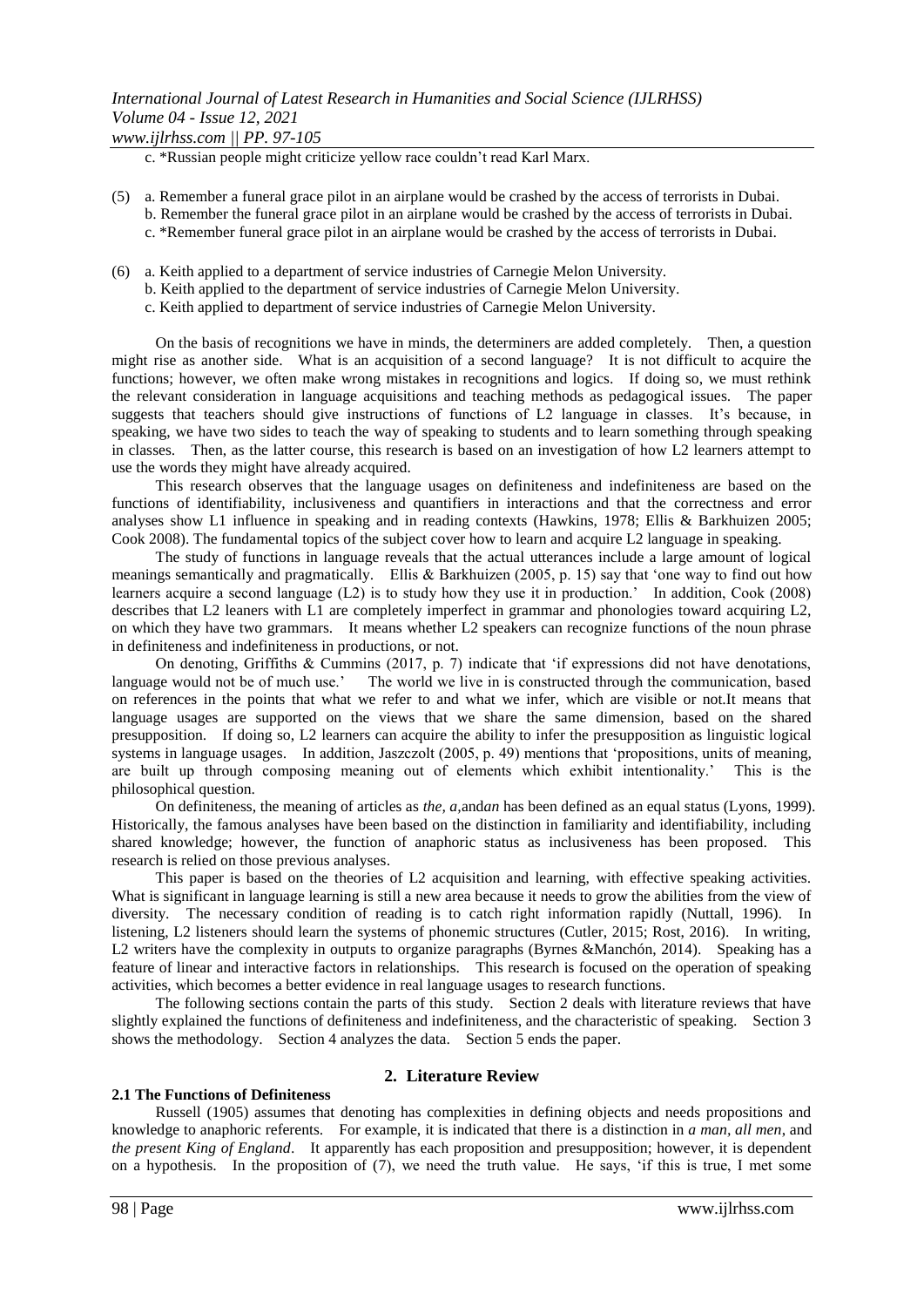*www.ijlrhss.com || PP. 97-105*

c. \*Russian people might criticize yellow race couldn"t read Karl Marx.

- (5) a. Remember a funeral grace pilot in an airplane would be crashed by the access of terrorists in Dubai. b. Remember the funeral grace pilot in an airplane would be crashed by the access of terrorists in Dubai. c. \*Remember funeral grace pilot in an airplane would be crashed by the access of terrorists in Dubai.
- (6) a. Keith applied to a department of service industries of Carnegie Melon University.
	- b. Keith applied to the department of service industries of Carnegie Melon University.
	- c. Keith applied to department of service industries of Carnegie Melon University.

On the basis of recognitions we have in minds, the determiners are added completely. Then, a question might rise as another side. What is an acquisition of a second language? It is not difficult to acquire the functions; however, we often make wrong mistakes in recognitions and logics. If doing so, we must rethink the relevant consideration in language acquisitions and teaching methods as pedagogical issues. The paper suggests that teachers should give instructions of functions of L2 language in classes. It's because, in speaking, we have two sides to teach the way of speaking to students and to learn something through speaking in classes. Then, as the latter course, this research is based on an investigation of how L2 learners attempt to use the words they might have already acquired.

This research observes that the language usages on definiteness and indefiniteness are based on the functions of identifiability, inclusiveness and quantifiers in interactions and that the correctness and error analyses show L1 influence in speaking and in reading contexts (Hawkins, 1978; Ellis & Barkhuizen 2005; Cook 2008). The fundamental topics of the subject cover how to learn and acquire L2 language in speaking.

The study of functions in language reveals that the actual utterances include a large amount of logical meanings semantically and pragmatically. Ellis & Barkhuizen (2005, p. 15) say that "one way to find out how learners acquire a second language (L2) is to study how they use it in production.' In addition, Cook (2008) describes that L2 leaners with L1 are completely imperfect in grammar and phonologies toward acquiring L2, on which they have two grammars. It means whether L2 speakers can recognize functions of the noun phrase in definiteness and indefiniteness in productions, or not.

On denoting, Griffiths & Cummins (2017, p. 7) indicate that "if expressions did not have denotations, language would not be of much use." The world we live in is constructed through the communication, based on references in the points that what we refer to and what we infer, which are visible or not.It means that language usages are supported on the views that we share the same dimension, based on the shared presupposition. If doing so, L2 learners can acquire the ability to infer the presupposition as linguistic logical systems in language usages. In addition, Jaszczolt (2005, p. 49) mentions that "propositions, units of meaning, are built up through composing meaning out of elements which exhibit intentionality." This is the philosophical question.

On definiteness, the meaning of articles as *the, a,*and*an* has been defined as an equal status (Lyons, 1999). Historically, the famous analyses have been based on the distinction in familiarity and identifiability, including shared knowledge; however, the function of anaphoric status as inclusiveness has been proposed. This research is relied on those previous analyses.

This paper is based on the theories of L2 acquisition and learning, with effective speaking activities. What is significant in language learning is still a new area because it needs to grow the abilities from the view of diversity. The necessary condition of reading is to catch right information rapidly (Nuttall, 1996). In listening, L2 listeners should learn the systems of phonemic structures (Cutler, 2015; Rost, 2016). In writing, L2 writers have the complexity in outputs to organize paragraphs (Byrnes &Manchón, 2014). Speaking has a feature of linear and interactive factors in relationships. This research is focused on the operation of speaking activities, which becomes a better evidence in real language usages to research functions.

The following sections contain the parts of this study. Section 2 deals with literature reviews that have slightly explained the functions of definiteness and indefiniteness, and the characteristic of speaking. Section 3 shows the methodology. Section 4 analyzes the data. Section 5 ends the paper.

### **2.1 The Functions of Definiteness**

### **2. Literature Review**

Russell (1905) assumes that denoting has complexities in defining objects and needs propositions and knowledge to anaphoric referents. For example, it is indicated that there is a distinction in *a man, all men*, and *the present King of England*. It apparently has each proposition and presupposition; however, it is dependent on a hypothesis. In the proposition of (7), we need the truth value. He says, "if this is true, I met some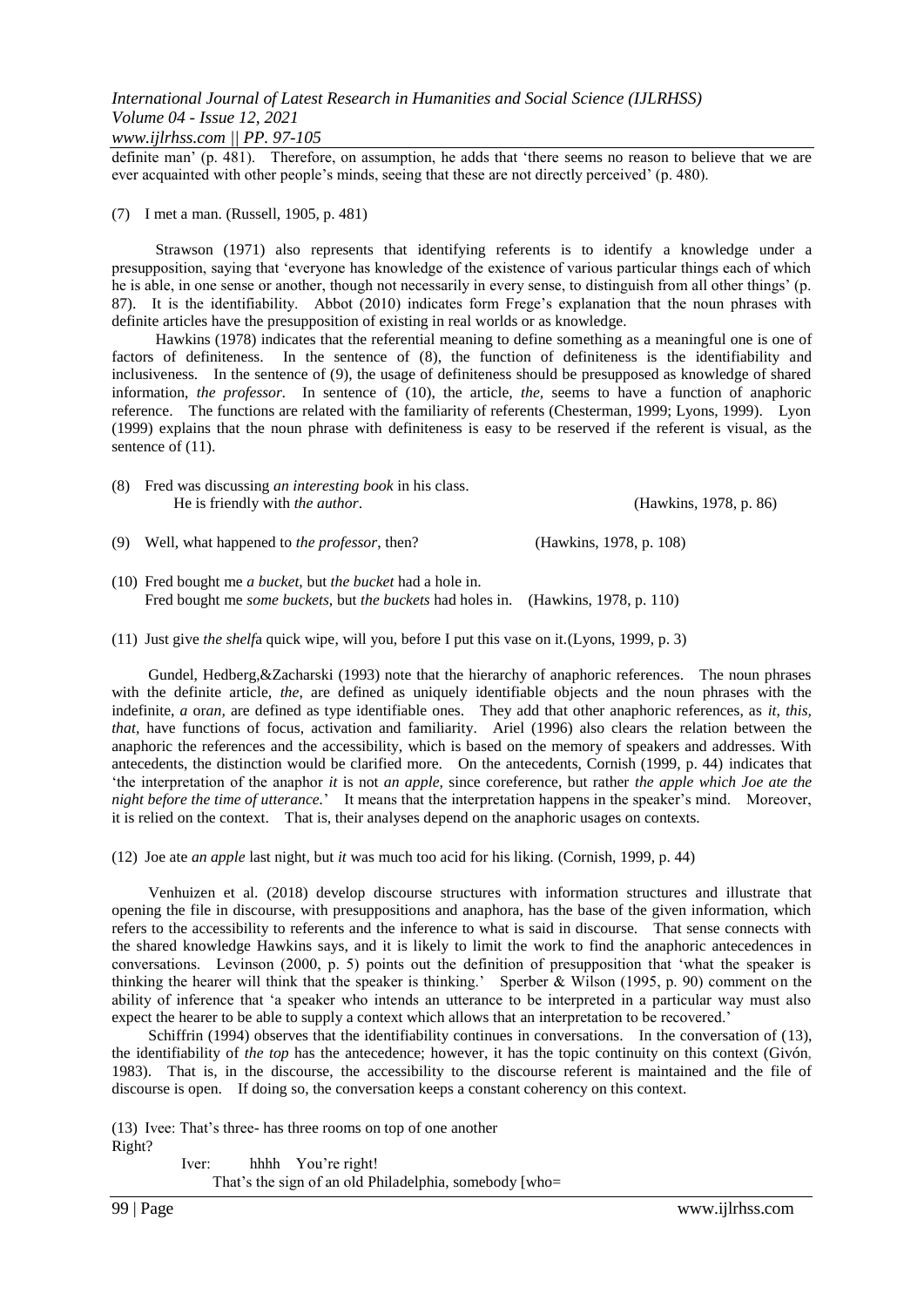### *www.ijlrhss.com || PP. 97-105*

definite man' (p. 481). Therefore, on assumption, he adds that 'there seems no reason to believe that we are ever acquainted with other people"s minds, seeing that these are not directly perceived" (p. 480).

(7) I met a man. (Russell, 1905, p. 481)

Strawson (1971) also represents that identifying referents is to identify a knowledge under a presupposition, saying that "everyone has knowledge of the existence of various particular things each of which he is able, in one sense or another, though not necessarily in every sense, to distinguish from all other things' (p. 87). It is the identifiability. Abbot (2010) indicates form Frege"s explanation that the noun phrases with definite articles have the presupposition of existing in real worlds or as knowledge.

Hawkins (1978) indicates that the referential meaning to define something as a meaningful one is one of factors of definiteness. In the sentence of (8), the function of definiteness is the identifiability and inclusiveness. In the sentence of (9), the usage of definiteness should be presupposed as knowledge of shared information, *the professor.* In sentence of (10), the article, *the,* seems to have a function of anaphoric reference. The functions are related with the familiarity of referents (Chesterman, 1999; Lyons, 1999). Lyon (1999) explains that the noun phrase with definiteness is easy to be reserved if the referent is visual, as the sentence of  $(11)$ .

| (8) Fred was discussing <i>an interesting book</i> in his class. |                        |
|------------------------------------------------------------------|------------------------|
| He is friendly with <i>the author</i> .                          | (Hawkins, 1978, p. 86) |

(9) Well, what happened to *the professor*, then? (Hawkins, 1978, p. 108)

- (10) Fred bought me *a bucket,* but *the bucket* had a hole in. Fred bought me *some buckets,* but *the buckets* had holes in. (Hawkins, 1978, p. 110)
- (11) Just give *the shelf*a quick wipe, will you, before I put this vase on it.(Lyons, 1999, p. 3)

Gundel, Hedberg,&Zacharski (1993) note that the hierarchy of anaphoric references. The noun phrases with the definite article, *the*, are defined as uniquely identifiable objects and the noun phrases with the indefinite, *a* or*an*, are defined as type identifiable ones. They add that other anaphoric references, as *it, this, that,* have functions of focus, activation and familiarity. Ariel (1996) also clears the relation between the anaphoric the references and the accessibility, which is based on the memory of speakers and addresses. With antecedents, the distinction would be clarified more. On the antecedents, Cornish (1999, p. 44) indicates that "the interpretation of the anaphor *it* is not *an apple,* since coreference, but rather *the apple which Joe ate the night before the time of utterance.*" It means that the interpretation happens in the speaker's mind. Moreover, it is relied on the context. That is, their analyses depend on the anaphoric usages on contexts.

(12) Joe ate *an apple* last night, but *it* was much too acid for his liking. (Cornish, 1999, p. 44)

Venhuizen et al. (2018) develop discourse structures with information structures and illustrate that opening the file in discourse, with presuppositions and anaphora, has the base of the given information, which refers to the accessibility to referents and the inference to what is said in discourse. That sense connects with the shared knowledge Hawkins says, and it is likely to limit the work to find the anaphoric antecedences in conversations. Levinson (2000, p. 5) points out the definition of presupposition that "what the speaker is thinking the hearer will think that the speaker is thinking." Sperber & Wilson (1995, p. 90) comment on the ability of inference that "a speaker who intends an utterance to be interpreted in a particular way must also expect the hearer to be able to supply a context which allows that an interpretation to be recovered."

Schiffrin (1994) observes that the identifiability continues in conversations. In the conversation of (13), the identifiability of *the top* has the antecedence; however, it has the topic continuity on this context [\(Givón,](https://www.google.co.jp/search?sa=X&hl=ja&biw=488&bih=219&tbm=bks&sxsrf=ACYBGNQ35sUED4ulKhUZRzBjoWEsvfiF2Q:1574740273345&tbm=bks&q=inauthor:%22Talmy+Giv%C3%B3n%22&ved=0ahUKEwiMo-zU_IbmAhVrIqYKHQeADV0Q9AgITDAD) 1983). That is, in the discourse, the accessibility to the discourse referent is maintained and the file of discourse is open. If doing so, the conversation keeps a constant coherency on this context.

(13) Ivee: That"s three- has three rooms on top of one another Right? Iver: hhhh You"re right!

That's the sign of an old Philadelphia, somebody [who=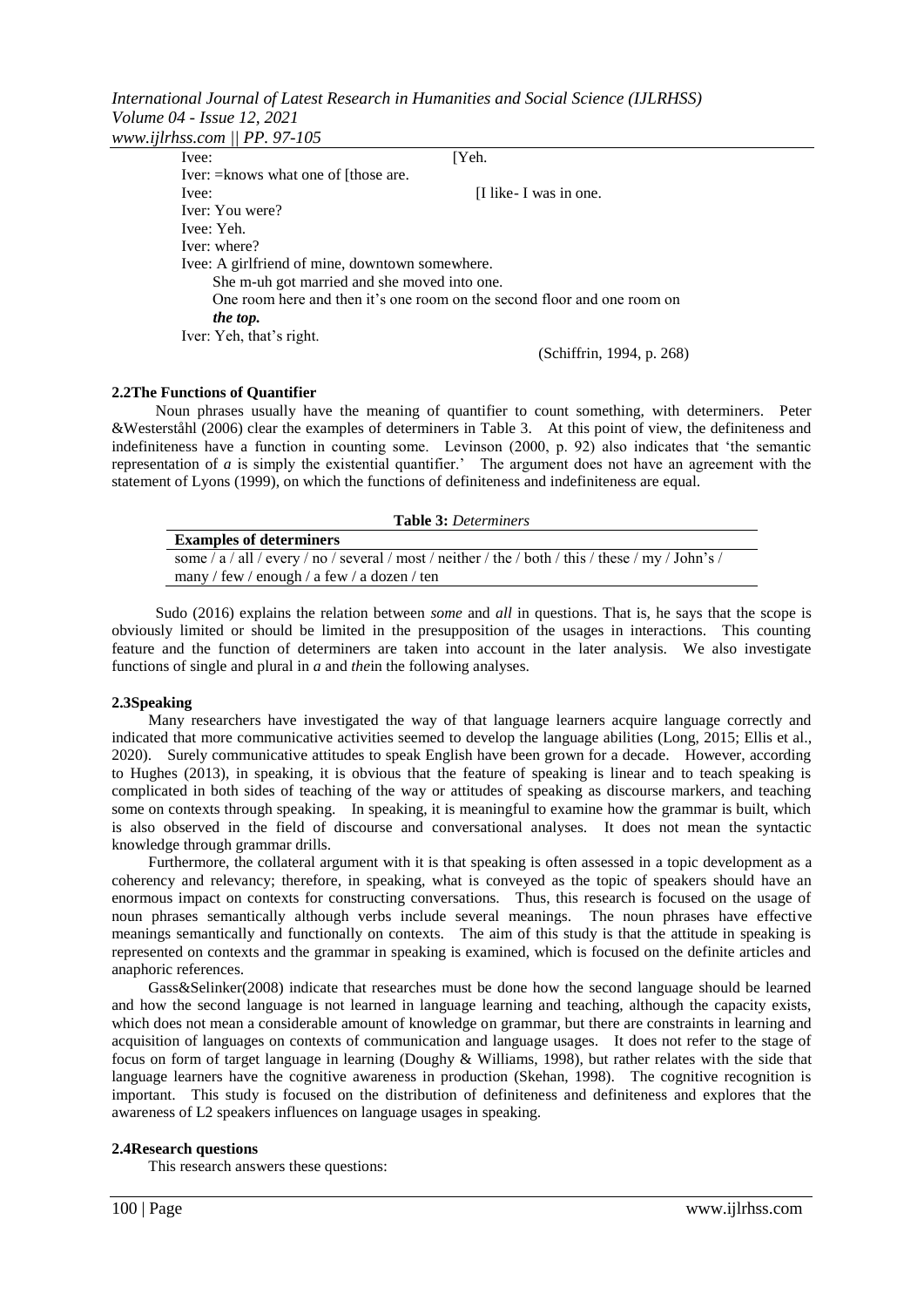|                                   | International Journal of Latest Research in Humanities and Social Science (IJLRHSS) |  |
|-----------------------------------|-------------------------------------------------------------------------------------|--|
| <i>Volume 04 - Issue 12, 2021</i> |                                                                                     |  |
| www.ijlrhss.com $   PP. 97-105$   |                                                                                     |  |

| [Yeh.                                                                    |
|--------------------------------------------------------------------------|
|                                                                          |
| [I like- I was in one.                                                   |
|                                                                          |
|                                                                          |
|                                                                          |
| Ivee: A girlfriend of mine, downtown somewhere.                          |
| She m-uh got married and she moved into one.                             |
| One room here and then it's one room on the second floor and one room on |
|                                                                          |
|                                                                          |
| (Schiffrin, 1994, p. 268)                                                |
|                                                                          |

### **2.2The Functions of Quantifier**

Noun phrases usually have the meaning of quantifier to count something, with determiners. Peter [&Westerståhl](https://www.google.co.jp/search?hl=ja&biw=488&bih=219&tbm=bks&sxsrf=ACYBGNRNwHQx7bj2nz8b76GAuVSWkRHoxQ:1574740522304&tbm=bks&q=inauthor:%22Dag+Westerst%C3%A5hl%22&sa=X&ved=0ahUKEwijzMfL_YbmAhWmF6YKHTe2BCwQ9AgIQzAC) (2006) clear the examples of determiners in Table 3. At this point of view, the definiteness and indefiniteness have a function in counting some. Levinson (2000, p. 92) also indicates that "the semantic representation of *a* is simply the existential quantifier.' The argument does not have an agreement with the statement of Lyons (1999), on which the functions of definiteness and indefiniteness are equal.

| <b>Table 3: Determiners</b>                                                                          |  |
|------------------------------------------------------------------------------------------------------|--|
| <b>Examples of determiners</b>                                                                       |  |
| some / $a$ / all / every / no / several / most / neither / the / both / this / these / my / John's / |  |
| many / few / enough / a few / a dozen / ten                                                          |  |

Sudo (2016) explains the relation between *some* and *all* in questions. That is, he says that the scope is obviously limited or should be limited in the presupposition of the usages in interactions. This counting feature and the function of determiners are taken into account in the later analysis. We also investigate functions of single and plural in *a* and *the*in the following analyses.

### **2.3Speaking**

Many researchers have investigated the way of that language learners acquire language correctly and indicated that more communicative activities seemed to develop the language abilities (Long, 2015; Ellis et al., 2020). Surely communicative attitudes to speak English have been grown for a decade. However, according to Hughes (2013), in speaking, it is obvious that the feature of speaking is linear and to teach speaking is complicated in both sides of teaching of the way or attitudes of speaking as discourse markers, and teaching some on contexts through speaking. In speaking, it is meaningful to examine how the grammar is built, which is also observed in the field of discourse and conversational analyses. It does not mean the syntactic knowledge through grammar drills.

Furthermore, the collateral argument with it is that speaking is often assessed in a topic development as a coherency and relevancy; therefore, in speaking, what is conveyed as the topic of speakers should have an enormous impact on contexts for constructing conversations. Thus, this research is focused on the usage of noun phrases semantically although verbs include several meanings. The noun phrases have effective meanings semantically and functionally on contexts. The aim of this study is that the attitude in speaking is represented on contexts and the grammar in speaking is examined, which is focused on the definite articles and anaphoric references.

Gass&Selinker(2008) indicate that researches must be done how the second language should be learned and how the second language is not learned in language learning and teaching, although the capacity exists, which does not mean a considerable amount of knowledge on grammar, but there are constraints in learning and acquisition of languages on contexts of communication and language usages. It does not refer to the stage of focus on form of target language in learning (Doughy & Williams, 1998), but rather relates with the side that language learners have the cognitive awareness in production (Skehan, 1998). The cognitive recognition is important. This study is focused on the distribution of definiteness and definiteness and explores that the awareness of L2 speakers influences on language usages in speaking.

### **2.4Research questions**

This research answers these questions: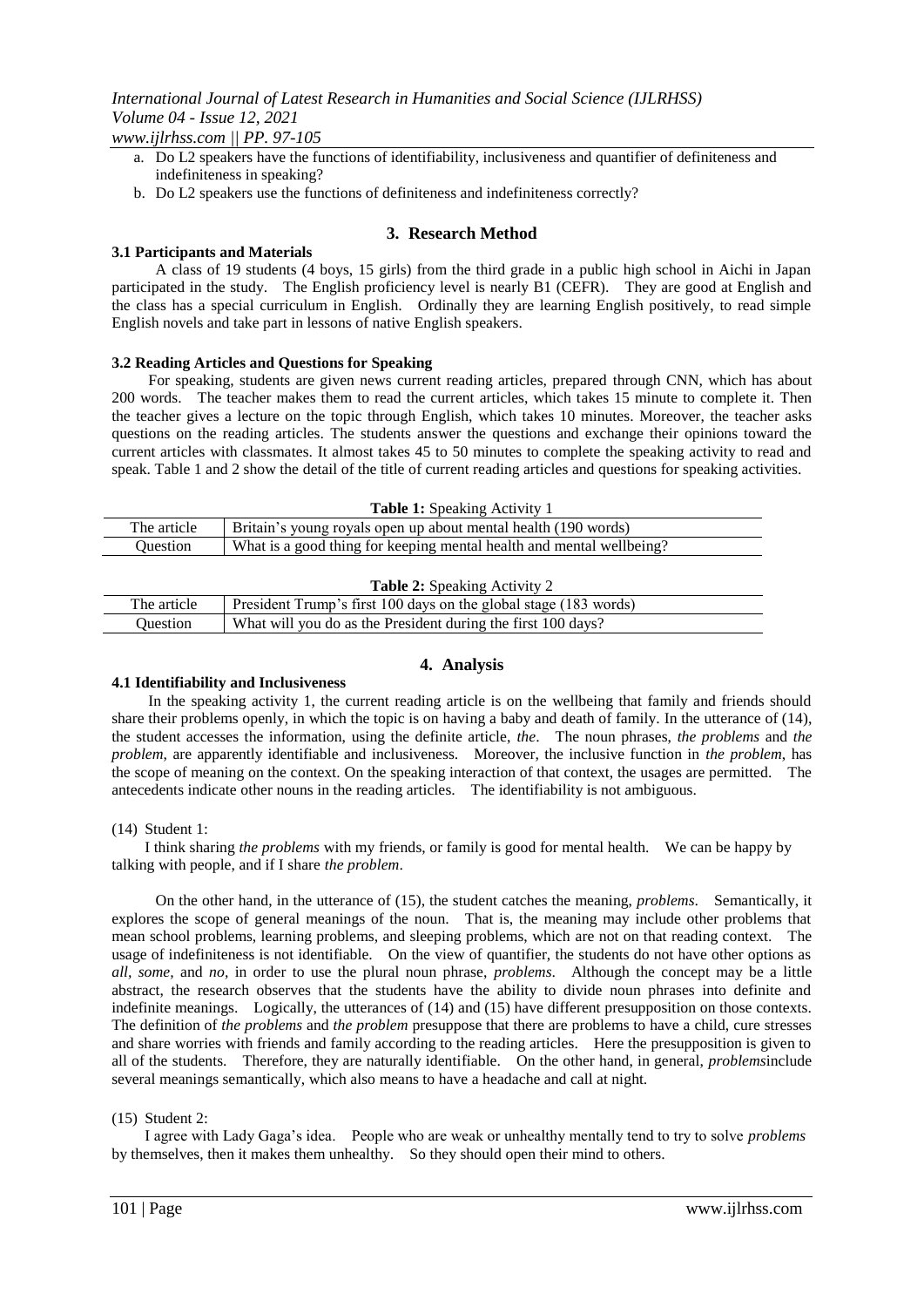- a. Do L2 speakers have the functions of identifiability, inclusiveness and quantifier of definiteness and indefiniteness in speaking?
- b. Do L2 speakers use the functions of definiteness and indefiniteness correctly?

## **3. Research Method**

### **3.1 Participants and Materials**

A class of 19 students (4 boys, 15 girls) from the third grade in a public high school in Aichi in Japan participated in the study. The English proficiency level is nearly B1 (CEFR). They are good at English and the class has a special curriculum in English. Ordinally they are learning English positively, to read simple English novels and take part in lessons of native English speakers.

### **3.2 Reading Articles and Questions for Speaking**

For speaking, students are given news current reading articles, prepared through CNN, which has about 200 words. The teacher makes them to read the current articles, which takes 15 minute to complete it. Then the teacher gives a lecture on the topic through English, which takes 10 minutes. Moreover, the teacher asks questions on the reading articles. The students answer the questions and exchange their opinions toward the current articles with classmates. It almost takes 45 to 50 minutes to complete the speaking activity to read and speak. Table 1 and 2 show the detail of the title of current reading articles and questions for speaking activities.

| Table 1: Speaking Activity 1 |  |
|------------------------------|--|
|------------------------------|--|

| The article | Britain's young royals open up about mental health (190 words)       |
|-------------|----------------------------------------------------------------------|
| Ouestion    | What is a good thing for keeping mental health and mental wellbeing? |
|             |                                                                      |

| <b>Table 2:</b> Speaking Activity 2 |  |  |
|-------------------------------------|--|--|
|                                     |  |  |

| The article | President Trump's first 100 days on the global stage (183 words) |
|-------------|------------------------------------------------------------------|
| Ouestion    | What will vou do as the President during the first 100 days?     |

## **4. Analysis**

### **4.1 Identifiability and Inclusiveness**

In the speaking activity 1, the current reading article is on the wellbeing that family and friends should share their problems openly, in which the topic is on having a baby and death of family. In the utterance of (14), the student accesses the information, using the definite article, *the*. The noun phrases, *the problems* and *the problem*, are apparently identifiable and inclusiveness. Moreover, the inclusive function in *the problem*, has the scope of meaning on the context. On the speaking interaction of that context, the usages are permitted. The antecedents indicate other nouns in the reading articles. The identifiability is not ambiguous.

### (14) Student 1:

I think sharing *the problems* with my friends, or family is good for mental health. We can be happy by talking with people, and if I share *the problem*.

On the other hand, in the utterance of (15), the student catches the meaning, *problems*. Semantically, it explores the scope of general meanings of the noun. That is, the meaning may include other problems that mean school problems, learning problems, and sleeping problems, which are not on that reading context. The usage of indefiniteness is not identifiable. On the view of quantifier, the students do not have other options as *all, some,* and *no,* in order to use the plural noun phrase, *problems*. Although the concept may be a little abstract, the research observes that the students have the ability to divide noun phrases into definite and indefinite meanings. Logically, the utterances of (14) and (15) have different presupposition on those contexts. The definition of *the problems* and *the problem* presuppose that there are problems to have a child, cure stresses and share worries with friends and family according to the reading articles. Here the presupposition is given to all of the students. Therefore, they are naturally identifiable. On the other hand, in general, *problems*include several meanings semantically, which also means to have a headache and call at night.

### (15) Student 2:

I agree with Lady Gaga"s idea. People who are weak or unhealthy mentally tend to try to solve *problems* by themselves, then it makes them unhealthy. So they should open their mind to others.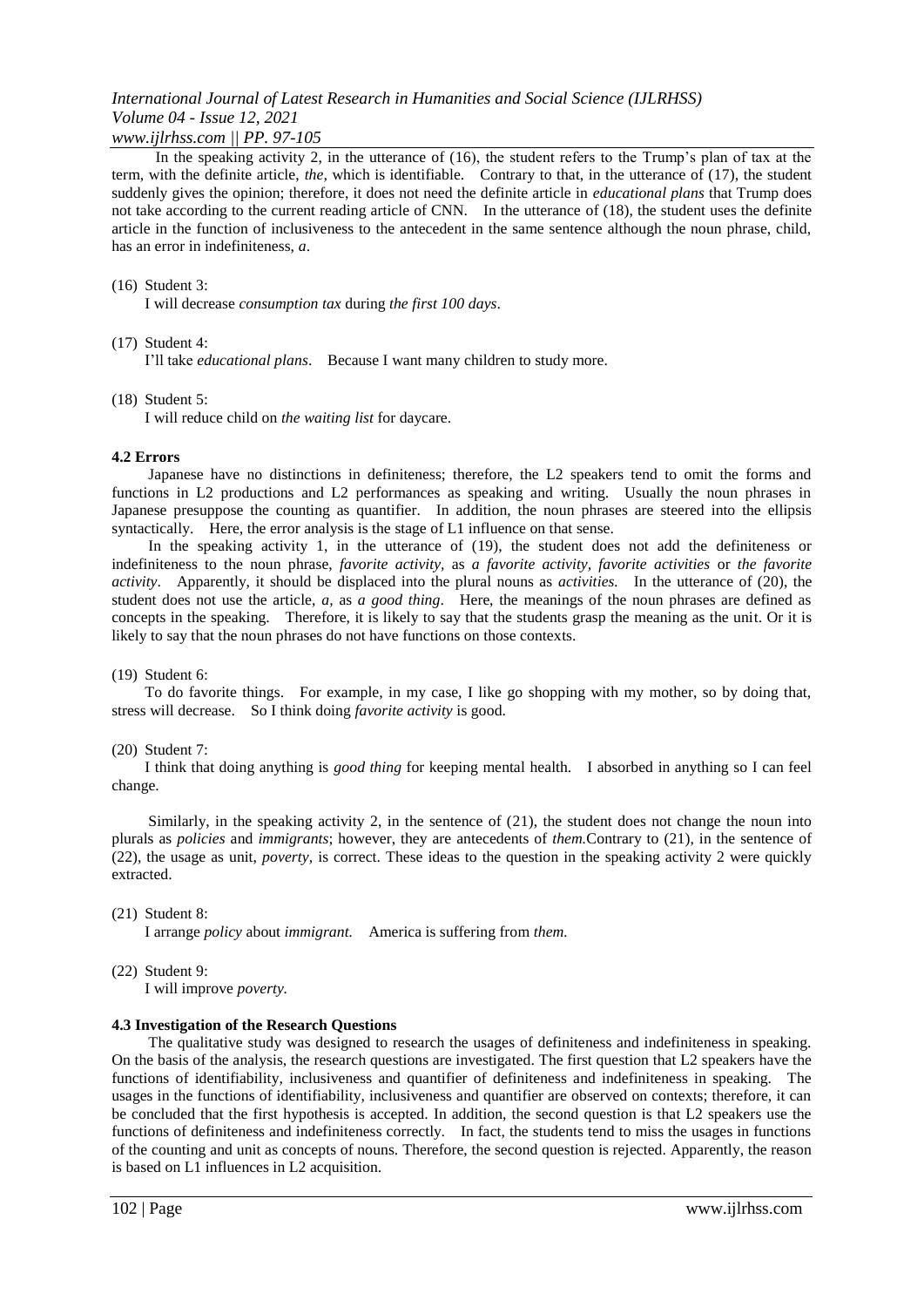# *www.ijlrhss.com || PP. 97-105*

In the speaking activity 2, in the utterance of (16), the student refers to the Trump's plan of tax at the term, with the definite article, *the*, which is identifiable. Contrary to that, in the utterance of (17), the student suddenly gives the opinion; therefore, it does not need the definite article in *educational plans* that Trump does not take according to the current reading article of CNN. In the utterance of (18), the student uses the definite article in the function of inclusiveness to the antecedent in the same sentence although the noun phrase, child, has an error in indefiniteness, *a*.

### (16) Student 3:

I will decrease *consumption tax* during *the first 100 days*.

(17) Student 4:

I"ll take *educational plans*. Because I want many children to study more.

(18) Student 5:

I will reduce child on *the waiting list* for daycare.

#### **4.2 Errors**

Japanese have no distinctions in definiteness; therefore, the L2 speakers tend to omit the forms and functions in L2 productions and L2 performances as speaking and writing. Usually the noun phrases in Japanese presuppose the counting as quantifier. In addition, the noun phrases are steered into the ellipsis syntactically. Here, the error analysis is the stage of L1 influence on that sense.

In the speaking activity 1, in the utterance of (19), the student does not add the definiteness or indefiniteness to the noun phrase, *favorite activity,* as *a favorite activity, favorite activities* or *the favorite activity*. Apparently, it should be displaced into the plural nouns as *activities.* In the utterance of (20), the student does not use the article, *a,* as *a good thing*. Here, the meanings of the noun phrases are defined as concepts in the speaking. Therefore, it is likely to say that the students grasp the meaning as the unit. Or it is likely to say that the noun phrases do not have functions on those contexts.

(19) Student 6:

To do favorite things. For example, in my case, I like go shopping with my mother, so by doing that, stress will decrease. So I think doing *favorite activity* is good.

### (20) Student 7:

I think that doing anything is *good thing* for keeping mental health. I absorbed in anything so I can feel change.

Similarly, in the speaking activity 2, in the sentence of  $(21)$ , the student does not change the noun into plurals as *policies* and *immigrants*; however, they are antecedents of *them.*Contrary to (21), in the sentence of (22), the usage as unit, *poverty*, is correct. These ideas to the question in the speaking activity 2 were quickly extracted.

#### (21) Student 8:

I arrange *policy* about *immigrant.* America is suffering from *them.*

#### (22) Student 9:

I will improve *poverty.*

### **4.3 Investigation of the Research Questions**

The qualitative study was designed to research the usages of definiteness and indefiniteness in speaking. On the basis of the analysis, the research questions are investigated. The first question that L2 speakers have the functions of identifiability, inclusiveness and quantifier of definiteness and indefiniteness in speaking. The usages in the functions of identifiability, inclusiveness and quantifier are observed on contexts; therefore, it can be concluded that the first hypothesis is accepted. In addition, the second question is that L2 speakers use the functions of definiteness and indefiniteness correctly. In fact, the students tend to miss the usages in functions of the counting and unit as concepts of nouns. Therefore, the second question is rejected. Apparently, the reason is based on L1 influences in L2 acquisition.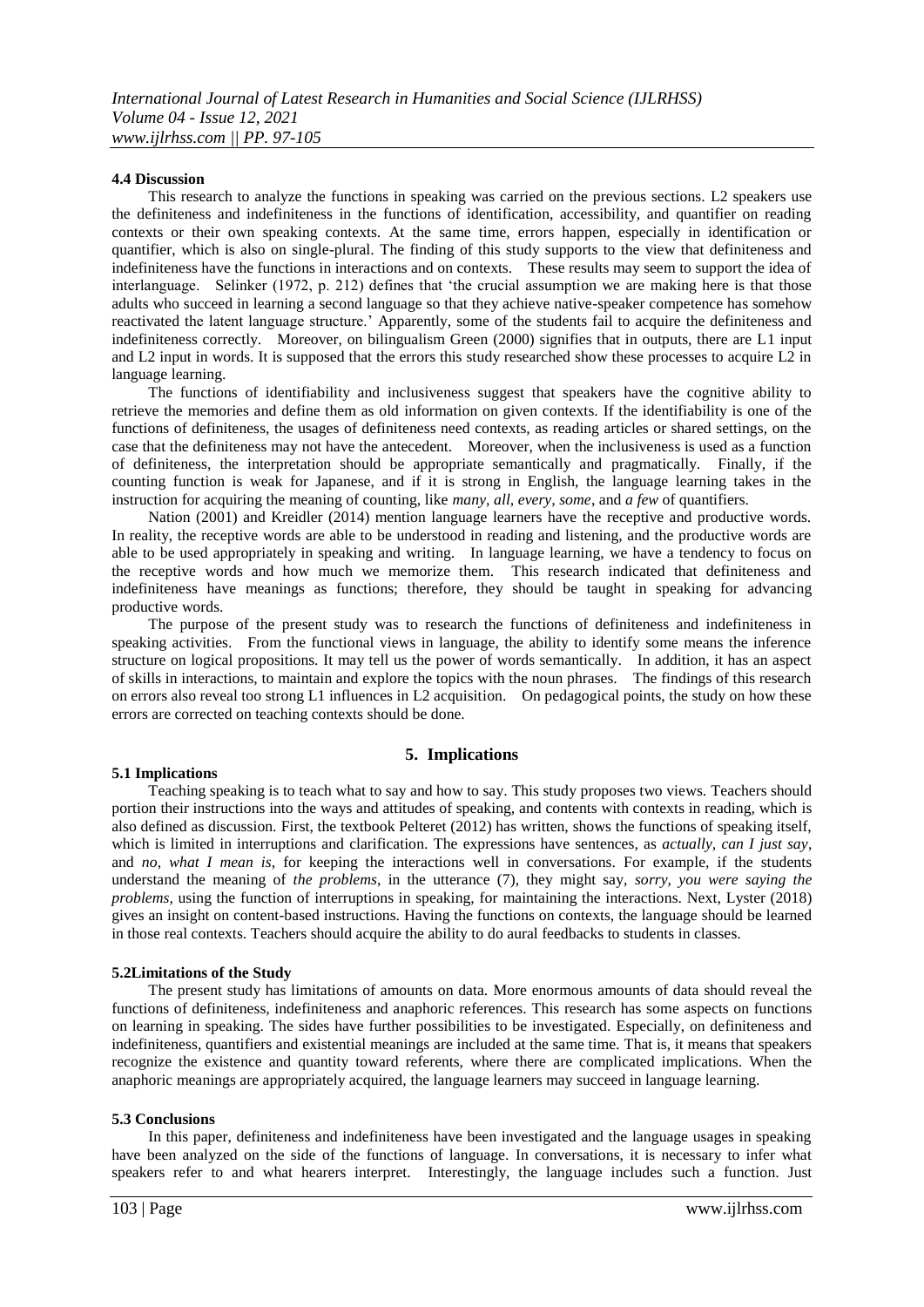### **4.4 Discussion**

This research to analyze the functions in speaking was carried on the previous sections. L2 speakers use the definiteness and indefiniteness in the functions of identification, accessibility, and quantifier on reading contexts or their own speaking contexts. At the same time, errors happen, especially in identification or quantifier, which is also on single-plural. The finding of this study supports to the view that definiteness and indefiniteness have the functions in interactions and on contexts. These results may seem to support the idea of interlanguage. Selinker (1972, p. 212) defines that "the crucial assumption we are making here is that those adults who succeed in learning a second language so that they achieve native-speaker competence has somehow reactivated the latent language structure." Apparently, some of the students fail to acquire the definiteness and indefiniteness correctly. Moreover, on bilingualism Green (2000) signifies that in outputs, there are L1 input and L2 input in words. It is supposed that the errors this study researched show these processes to acquire L2 in language learning.

The functions of identifiability and inclusiveness suggest that speakers have the cognitive ability to retrieve the memories and define them as old information on given contexts. If the identifiability is one of the functions of definiteness, the usages of definiteness need contexts, as reading articles or shared settings, on the case that the definiteness may not have the antecedent. Moreover, when the inclusiveness is used as a function of definiteness, the interpretation should be appropriate semantically and pragmatically. Finally, if the counting function is weak for Japanese, and if it is strong in English, the language learning takes in the instruction for acquiring the meaning of counting, like *many, all, every, some*, and *a few* of quantifiers.

Nation (2001) and Kreidler (2014) mention language learners have the receptive and productive words. In reality, the receptive words are able to be understood in reading and listening, and the productive words are able to be used appropriately in speaking and writing. In language learning, we have a tendency to focus on the receptive words and how much we memorize them. This research indicated that definiteness and indefiniteness have meanings as functions; therefore, they should be taught in speaking for advancing productive words.

The purpose of the present study was to research the functions of definiteness and indefiniteness in speaking activities. From the functional views in language, the ability to identify some means the inference structure on logical propositions. It may tell us the power of words semantically. In addition, it has an aspect of skills in interactions, to maintain and explore the topics with the noun phrases. The findings of this research on errors also reveal too strong L1 influences in L2 acquisition. On pedagogical points, the study on how these errors are corrected on teaching contexts should be done.

### **5. Implications**

#### **5.1 Implications**

Teaching speaking is to teach what to say and how to say. This study proposes two views. Teachers should portion their instructions into the ways and attitudes of speaking, and contents with contexts in reading, which is also defined as discussion. First, the textbook Pelteret (2012) has written, shows the functions of speaking itself, which is limited in interruptions and clarification. The expressions have sentences, as *actually, can I just say*, and *no, what I mean is*, for keeping the interactions well in conversations. For example, if the students understand the meaning of *the problems*, in the utterance (7), they might say, *sorry, you were saying the problems*, using the function of interruptions in speaking, for maintaining the interactions. Next, Lyster (2018) gives an insight on content-based instructions. Having the functions on contexts, the language should be learned in those real contexts. Teachers should acquire the ability to do aural feedbacks to students in classes.

#### **5.2Limitations of the Study**

The present study has limitations of amounts on data. More enormous amounts of data should reveal the functions of definiteness, indefiniteness and anaphoric references. This research has some aspects on functions on learning in speaking. The sides have further possibilities to be investigated. Especially, on definiteness and indefiniteness, quantifiers and existential meanings are included at the same time. That is, it means that speakers recognize the existence and quantity toward referents, where there are complicated implications. When the anaphoric meanings are appropriately acquired, the language learners may succeed in language learning.

#### **5.3 Conclusions**

In this paper, definiteness and indefiniteness have been investigated and the language usages in speaking have been analyzed on the side of the functions of language. In conversations, it is necessary to infer what speakers refer to and what hearers interpret. Interestingly, the language includes such a function. Just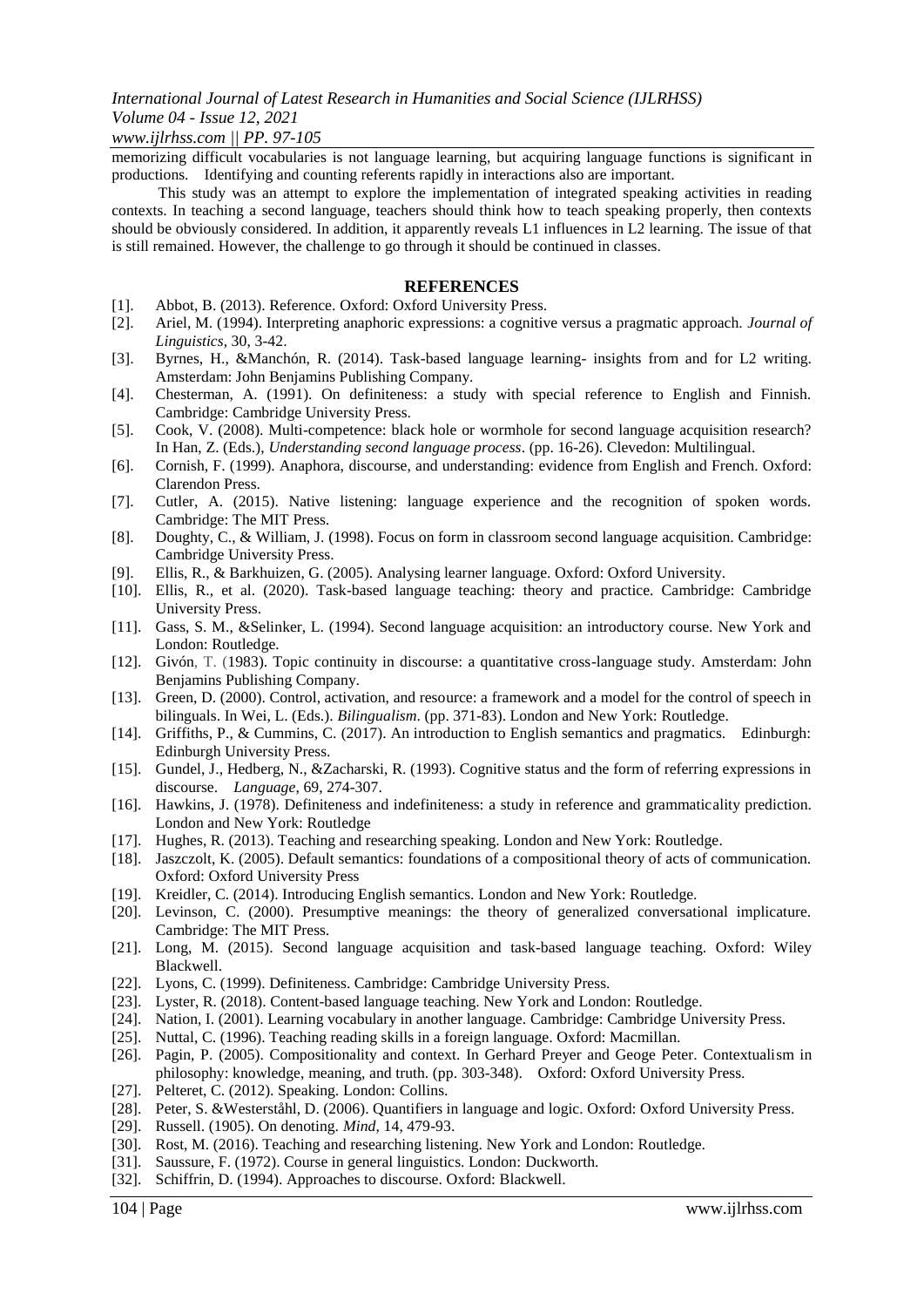# *www.ijlrhss.com || PP. 97-105*

memorizing difficult vocabularies is not language learning, but acquiring language functions is significant in productions. Identifying and counting referents rapidly in interactions also are important.

This study was an attempt to explore the implementation of integrated speaking activities in reading contexts. In teaching a second language, teachers should think how to teach speaking properly, then contexts should be obviously considered. In addition, it apparently reveals L1 influences in L2 learning. The issue of that is still remained. However, the challenge to go through it should be continued in classes.

### **REFERENCES**

- [1]. Abbot, B. (2013). Reference. Oxford: Oxford University Press.
- [2]. Ariel, M. (1994). Interpreting anaphoric expressions: a cognitive versus a pragmatic approach. *Journal of Linguistics*, 30, 3-42.
- [3]. Byrnes, H., &Manchón, R. (2014). Task-based language learning- insights from and for L2 writing. Amsterdam: John Benjamins Publishing Company.
- [4]. Chesterman, A. (1991). On definiteness: a study with special reference to English and Finnish. Cambridge: Cambridge University Press.
- [5]. Cook, V. (2008). Multi-competence: black hole or wormhole for second language acquisition research? In Han, Z. (Eds.), *Understanding second language process*. (pp. 16-26). Clevedon: Multilingual.
- [6]. Cornish, F. (1999). Anaphora, discourse, and understanding: evidence from English and French. Oxford: Clarendon Press.
- [7]. Cutler, A. (2015). Native listening: language experience and the recognition of spoken words. Cambridge: The MIT Press.
- [8]. Doughty, C., & William, J. (1998). Focus on form in classroom second language acquisition. Cambridge: Cambridge University Press.
- [9]. Ellis, R., & Barkhuizen, G. (2005). Analysing learner language. Oxford: Oxford University.
- [10]. Ellis, R., et al. (2020). Task-based language teaching: theory and practice. Cambridge: Cambridge University Press.
- [11]. Gass, S. M., &Selinker, L. (1994). Second language acquisition: an introductory course. New York and London: Routledge.
- [12]. [Givón,](https://www.google.co.jp/search?sa=X&hl=ja&biw=488&bih=219&tbm=bks&sxsrf=ACYBGNQ35sUED4ulKhUZRzBjoWEsvfiF2Q:1574740273345&tbm=bks&q=inauthor:%22Talmy+Giv%C3%B3n%22&ved=0ahUKEwiMo-zU_IbmAhVrIqYKHQeADV0Q9AgITDAD) T. (1983). Topic continuity in discourse: a quantitative cross-language study. Amsterdam: John Benjamins Publishing Company.
- [13]. Green, D. (2000). Control, activation, and resource: a framework and a model for the control of speech in bilinguals. In Wei, L. (Eds.). *Bilingualism*. (pp. 371-83). London and New York: Routledge.
- [14]. Griffiths, P., & Cummins, C. (2017). An introduction to English semantics and pragmatics. Edinburgh: Edinburgh University Press.
- [15]. Gundel, J., Hedberg, N., &Zacharski, R. (1993). Cognitive status and the form of referring expressions in discourse. *Language*, 69, 274-307.
- [16]. Hawkins, J. (1978). Definiteness and indefiniteness: a study in reference and grammaticality prediction. London and New York: Routledge
- [17]. Hughes, R. (2013). Teaching and researching speaking. London and New York: Routledge.
- [18]. Jaszczolt, K. (2005). Default semantics: foundations of a compositional theory of acts of communication. Oxford: Oxford University Press
- [19]. Kreidler, C. (2014). Introducing English semantics. London and New York: Routledge.
- [20]. Levinson, C. (2000). Presumptive meanings: the theory of generalized conversational implicature. Cambridge: The MIT Press.
- [21]. Long, M. (2015). Second language acquisition and task-based language teaching. Oxford: Wiley Blackwell.
- [22]. Lyons, C. (1999). Definiteness. Cambridge: Cambridge University Press.
- [23]. Lyster, R. (2018). Content-based language teaching. New York and London: Routledge.
- [24]. Nation, I. (2001). Learning vocabulary in another language. Cambridge: Cambridge University Press.
- [25]. Nuttal, C. (1996). Teaching reading skills in a foreign language. Oxford: Macmillan.
- [26]. Pagin, P. (2005). Compositionality and context. In Gerhard Preyer and Geoge Peter. Contextualism in philosophy: knowledge, meaning, and truth. (pp. 303-348). Oxford: Oxford University Press.
- [27]. Pelteret, C. (2012). Speaking. London: Collins.
- [28]. Peter, S. [&Westerståhl,](https://www.google.co.jp/search?hl=ja&biw=488&bih=219&tbm=bks&sxsrf=ACYBGNRNwHQx7bj2nz8b76GAuVSWkRHoxQ:1574740522304&tbm=bks&q=inauthor:%22Dag+Westerst%C3%A5hl%22&sa=X&ved=0ahUKEwijzMfL_YbmAhWmF6YKHTe2BCwQ9AgIQzAC) D. (2006). Quantifiers in language and logic. Oxford: Oxford University Press.
- [29]. Russell. (1905). On denoting. *Mind*, 14, 479-93.
- [30]. Rost, M. (2016). Teaching and researching listening. New York and London: Routledge.
- [31]. Saussure, F. (1972). Course in general linguistics. London: Duckworth.
- [32]. Schiffrin, D. (1994). Approaches to discourse. Oxford: Blackwell.